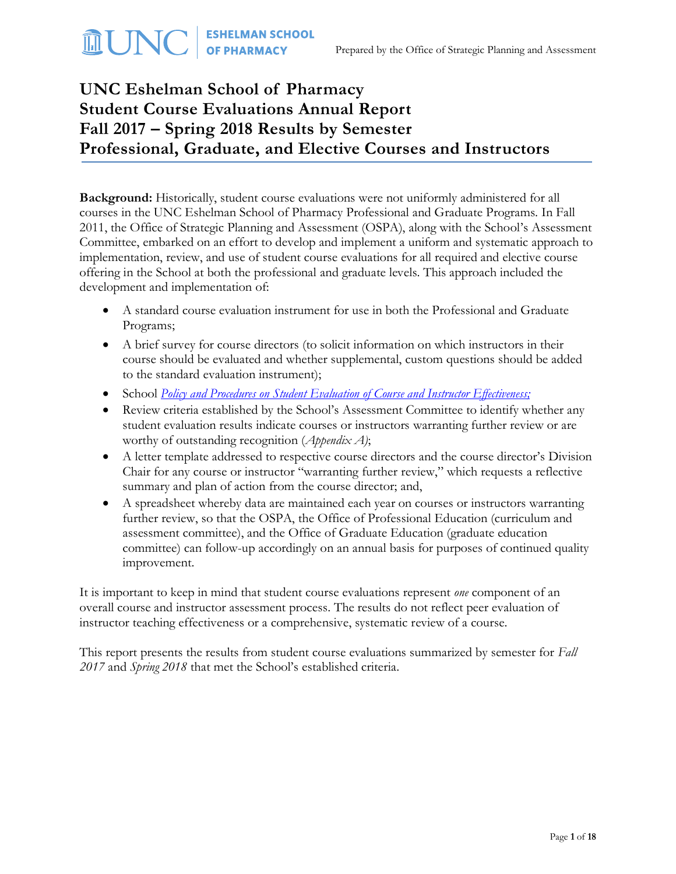# **UNC Eshelman School of Pharmacy Student Course Evaluations Annual Report Fall 2017 – Spring 2018 Results by Semester Professional, Graduate, and Elective Courses and Instructors**

**Background:** Historically, student course evaluations were not uniformly administered for all courses in the UNC Eshelman School of Pharmacy Professional and Graduate Programs. In Fall 2011, the Office of Strategic Planning and Assessment (OSPA), along with the School's Assessment Committee, embarked on an effort to develop and implement a uniform and systematic approach to implementation, review, and use of student course evaluations for all required and elective course offering in the School at both the professional and graduate levels. This approach included the development and implementation of:

- A standard course evaluation instrument for use in both the Professional and Graduate Programs;
- A brief survey for course directors (to solicit information on which instructors in their course should be evaluated and whether supplemental, custom questions should be added to the standard evaluation instrument);
- School *[Policy and Procedures on Student Evaluation of Course and Instructor Effectiveness;](http://faopharmacy.unc.edu/files/2015/05/Course-Evaluation-Policy-and-Procedures-5-7-141.pdf)*
- Review criteria established by the School's Assessment Committee to identify whether any student evaluation results indicate courses or instructors warranting further review or are worthy of outstanding recognition (*Appendix A)*;
- A letter template addressed to respective course directors and the course director's Division Chair for any course or instructor "warranting further review," which requests a reflective summary and plan of action from the course director; and,
- A spreadsheet whereby data are maintained each year on courses or instructors warranting further review, so that the OSPA, the Office of Professional Education (curriculum and assessment committee), and the Office of Graduate Education (graduate education committee) can follow-up accordingly on an annual basis for purposes of continued quality improvement.

It is important to keep in mind that student course evaluations represent *one* component of an overall course and instructor assessment process. The results do not reflect peer evaluation of instructor teaching effectiveness or a comprehensive, systematic review of a course.

This report presents the results from student course evaluations summarized by semester for *Fall 2017* and *Spring 2018* that met the School's established criteria.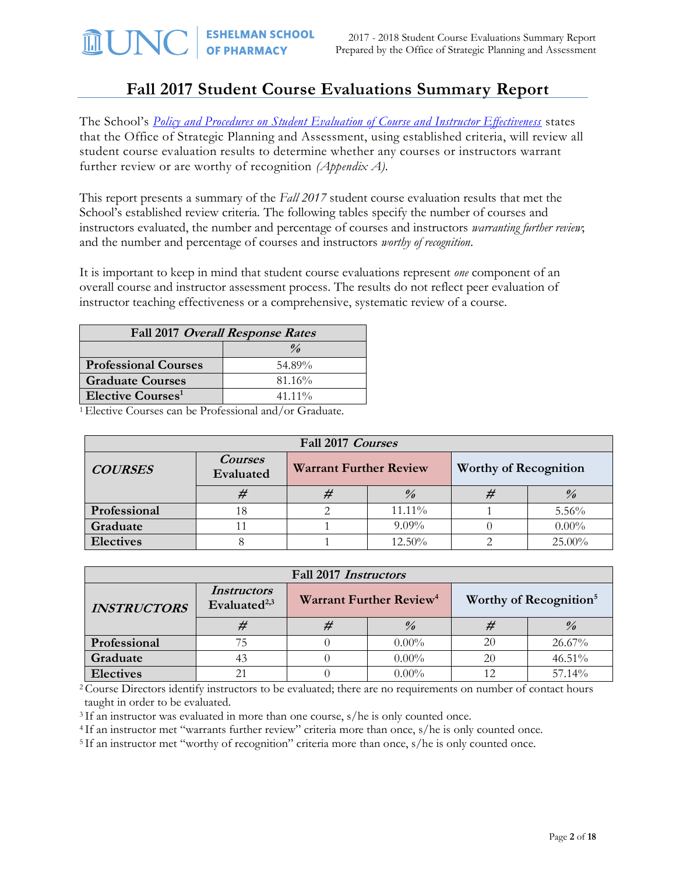## **Fall 2017 Student Course Evaluations Summary Report**

The School's *[Policy and Procedures on Student Evaluation of Course and Instructor Effectiveness](http://faopharmacy.unc.edu/files/2015/05/Course-Evaluation-Policy-and-Procedures-5-7-141.pdf)* states that the Office of Strategic Planning and Assessment, using established criteria, will review all student course evaluation results to determine whether any courses or instructors warrant further review or are worthy of recognition *(Appendix A).*

This report presents a summary of the *Fall 2017* student course evaluation results that met the School's established review criteria. The following tables specify the number of courses and instructors evaluated, the number and percentage of courses and instructors *warranting further review*; and the number and percentage of courses and instructors *worthy of recognition*.

It is important to keep in mind that student course evaluations represent *one* component of an overall course and instructor assessment process. The results do not reflect peer evaluation of instructor teaching effectiveness or a comprehensive, systematic review of a course.

| Fall 2017 Overall Response Rates |           |  |  |  |
|----------------------------------|-----------|--|--|--|
| $\frac{\theta}{a}$               |           |  |  |  |
| <b>Professional Courses</b>      | 54.89%    |  |  |  |
| <b>Graduate Courses</b>          | 81.16%    |  |  |  |
| Elective Courses <sup>1</sup>    | $41.11\%$ |  |  |  |

<sup>1</sup>Elective Courses can be Professional and/or Graduate.

| Fall 2017 Courses |                             |                               |               |                              |          |  |
|-------------------|-----------------------------|-------------------------------|---------------|------------------------------|----------|--|
| <b>COURSES</b>    | <b>Courses</b><br>Evaluated | <b>Warrant Further Review</b> |               | <b>Worthy of Recognition</b> |          |  |
|                   |                             |                               | $\frac{0}{0}$ |                              |          |  |
| Professional      | 18                          |                               | $11.11\%$     |                              | $5.56\%$ |  |
| Graduate          |                             |                               | $9.09\%$      |                              | $0.00\%$ |  |
| <b>Electives</b>  |                             | 25.00%<br>$12.50\%$           |               |                              |          |  |

| Fall 2017 Instructors |                                                |  |                                     |    |                                    |  |
|-----------------------|------------------------------------------------|--|-------------------------------------|----|------------------------------------|--|
| <b>INSTRUCTORS</b>    | <i>Instructors</i><br>Evaluated <sup>2,3</sup> |  | Warrant Further Review <sup>4</sup> |    | Worthy of Recognition <sup>5</sup> |  |
|                       | #                                              |  | $\frac{0}{0}$                       |    | $\frac{0}{0}$                      |  |
| Professional          | 75                                             |  | $0.00\%$                            | 20 | 26.67%                             |  |
| Graduate              | 43                                             |  | $0.00\%$                            | 20 | 46.51%                             |  |
| <b>Electives</b>      |                                                |  | $0.00\%$                            |    | 57.14%                             |  |

<sup>2</sup> Course Directors identify instructors to be evaluated; there are no requirements on number of contact hours taught in order to be evaluated.

<sup>3</sup>If an instructor was evaluated in more than one course, s/he is only counted once.

<sup>4</sup>If an instructor met "warrants further review" criteria more than once, s/he is only counted once.

<sup>5</sup>If an instructor met "worthy of recognition" criteria more than once, s/he is only counted once.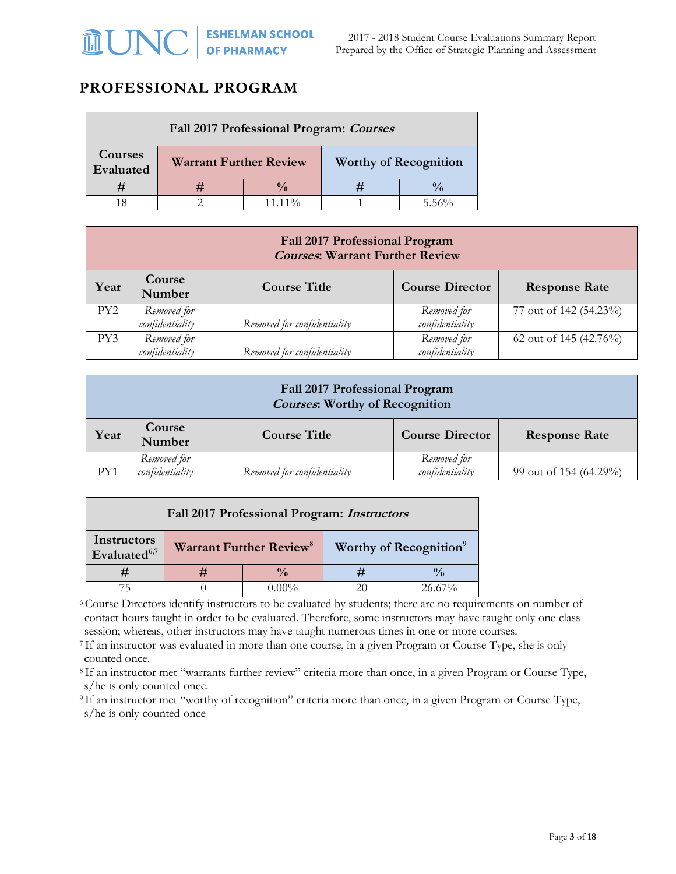## **PROFESSIONAL PROGRAM**

| Fall 2017 Professional Program: Courses |                                                               |                 |  |           |  |
|-----------------------------------------|---------------------------------------------------------------|-----------------|--|-----------|--|
| Courses<br>Evaluated                    | <b>Worthy of Recognition</b><br><b>Warrant Further Review</b> |                 |  |           |  |
|                                         |                                                               | $\sqrt{\alpha}$ |  |           |  |
|                                         |                                                               | $11.11\%$       |  | $-5.56\%$ |  |

| <b>Fall 2017 Professional Program</b><br><b>Courses: Warrant Further Review</b>                   |                                |                             |                                |                        |  |
|---------------------------------------------------------------------------------------------------|--------------------------------|-----------------------------|--------------------------------|------------------------|--|
| Course<br>Year<br><b>Course Title</b><br><b>Course Director</b><br><b>Response Rate</b><br>Number |                                |                             |                                |                        |  |
| PY <sub>2</sub>                                                                                   | Removed for<br>confidentiality | Removed for confidentiality | Removed for<br>confidentiality | 77 out of 142 (54.23%) |  |
| PY3                                                                                               | Removed for<br>confidentiality | Removed for confidentiality | Removed for<br>confidentiality | 62 out of 145 (42.76%) |  |

| Fall 2017 Professional Program<br><b>Courses: Worthy of Recognition</b> |                                |                             |                                |                        |  |
|-------------------------------------------------------------------------|--------------------------------|-----------------------------|--------------------------------|------------------------|--|
| Course<br>Year<br><b>Course Title</b><br>Number                         |                                |                             | <b>Course Director</b>         | <b>Response Rate</b>   |  |
| PY1                                                                     | Removed for<br>confidentiality | Removed for confidentiality | Removed for<br>confidentiality | 99 out of 154 (64.29%) |  |

| Fall 2017 Professional Program: Instructors |               |                                           |  |                                    |  |
|---------------------------------------------|---------------|-------------------------------------------|--|------------------------------------|--|
| Instructors<br>Evaluated <sup>6,7</sup>     |               | <b>Warrant Further Review<sup>8</sup></b> |  | Worthy of Recognition <sup>9</sup> |  |
|                                             | $\frac{0}{0}$ |                                           |  |                                    |  |
|                                             |               | ን በበ%                                     |  | $26.67\%$                          |  |

<sup>6</sup>Course Directors identify instructors to be evaluated by students; there are no requirements on number of contact hours taught in order to be evaluated. Therefore, some instructors may have taught only one class session; whereas, other instructors may have taught numerous times in one or more courses.

<sup>7</sup> If an instructor was evaluated in more than one course, in a given Program or Course Type, she is only counted once.

<sup>8</sup> If an instructor met "warrants further review" criteria more than once, in a given Program or Course Type, s/he is only counted once.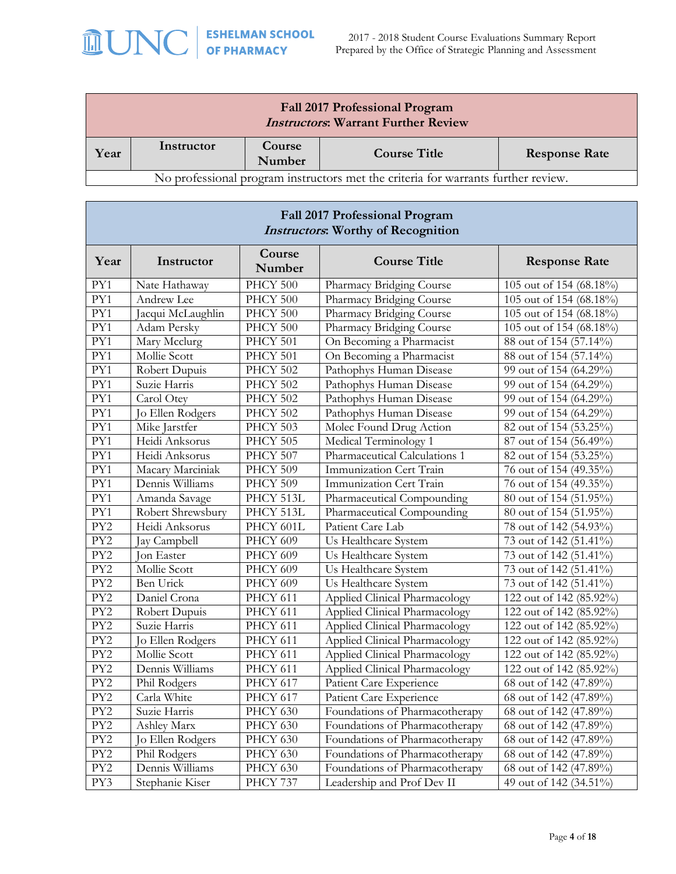

| <b>Fall 2017 Professional Program</b><br><b>Instructors: Warrant Further Review</b> |                                                                               |                  |                                                                                   |                             |  |
|-------------------------------------------------------------------------------------|-------------------------------------------------------------------------------|------------------|-----------------------------------------------------------------------------------|-----------------------------|--|
| Year                                                                                | Instructor                                                                    | Course<br>Number | <b>Course Title</b>                                                               | <b>Response Rate</b>        |  |
|                                                                                     |                                                                               |                  | No professional program instructors met the criteria for warrants further review. |                             |  |
|                                                                                     |                                                                               |                  |                                                                                   |                             |  |
| <b>Fall 2017 Professional Program</b><br><b>Instructors:</b> Worthy of Recognition  |                                                                               |                  |                                                                                   |                             |  |
| Year                                                                                | Course<br><b>Course Title</b><br>Instructor<br><b>Response Rate</b><br>Number |                  |                                                                                   |                             |  |
| PY1                                                                                 | Nate Hathaway                                                                 | PHCY 500         | Pharmacy Bridging Course                                                          | 105 out of 154 (68.18%)     |  |
| PY1                                                                                 | Andrew Lee                                                                    | PHCY 500         | Pharmacy Bridging Course                                                          | 105 out of 154 (68.18%)     |  |
| PY1                                                                                 | Jacqui McLaughlin                                                             | PHCY 500         | Pharmacy Bridging Course                                                          | 105 out of 154 (68.18%)     |  |
| PY1                                                                                 | Adam Persky                                                                   | PHCY 500         | Pharmacy Bridging Course                                                          | $105$ out of $154$ (68.18%) |  |

| Year             | Instructor          | Course<br>Number | <b>Course Title</b>            | <b>Response Rate</b>                |
|------------------|---------------------|------------------|--------------------------------|-------------------------------------|
| PY1              | Nate Hathaway       | PHCY 500         | Pharmacy Bridging Course       | 105 out of 154 (68.18%)             |
| PY1              | Andrew Lee          | PHCY 500         | Pharmacy Bridging Course       | 105 out of 154 (68.18%)             |
| PY1              | Jacqui McLaughlin   | PHCY 500         | Pharmacy Bridging Course       | 105 out of 154 (68.18%)             |
| $\overline{PY1}$ | Adam Persky         | PHCY 500         | Pharmacy Bridging Course       | 105 out of 154 (68.18%)             |
| $\overline{PY1}$ | Mary Mcclurg        | PHCY 501         | On Becoming a Pharmacist       | 88 out of 154 (57.14%)              |
| PY1              | Mollie Scott        | PHCY 501         | On Becoming a Pharmacist       | 88 out of 154 (57.14%)              |
| $\overline{PY1}$ | Robert Dupuis       | PHCY 502         | Pathophys Human Disease        | 99 out of 154 (64.29%)              |
| PY1              | Suzie Harris        | PHCY 502         | Pathophys Human Disease        | 99 out of 154 (64.29%)              |
| PY1              | Carol Otey          | PHCY 502         | Pathophys Human Disease        | $\overline{99}$ out of 154 (64.29%) |
| PY1              | Jo Ellen Rodgers    | PHCY 502         | Pathophys Human Disease        | 99 out of 154 (64.29%)              |
| $\overline{PY1}$ | Mike Jarstfer       | PHCY 503         | Molec Found Drug Action        | 82 out of 154 (53.25%)              |
| PY1              | Heidi Anksorus      | PHCY 505         | Medical Terminology 1          | 87 out of 154 (56.49%)              |
| PY1              | Heidi Anksorus      | PHCY 507         | Pharmaceutical Calculations 1  | 82 out of 154 (53.25%)              |
| PY1              | Macary Marciniak    | PHCY 509         | Immunization Cert Train        | 76 out of 154 (49.35%)              |
| PY1              | Dennis Williams     | PHCY 509         | Immunization Cert Train        | 76 out of 154 (49.35%)              |
| $\overline{PY1}$ | Amanda Savage       | PHCY 513L        | Pharmaceutical Compounding     | 80 out of 154 (51.95%)              |
| $\overline{PY1}$ | Robert Shrewsbury   | PHCY 513L        | Pharmaceutical Compounding     | 80 out of 154 (51.95%)              |
| $\overline{PY2}$ | Heidi Anksorus      | PHCY 601L        | Patient Care Lab               | 78 out of 142 (54.93%)              |
| PY <sub>2</sub>  | Jay Campbell        | PHCY 609         | Us Healthcare System           | 73 out of 142 (51.41%)              |
| PY <sub>2</sub>  | <b>Jon Easter</b>   | PHCY 609         | Us Healthcare System           | 73 out of 142 (51.41%)              |
| PY <sub>2</sub>  | <b>Mollie Scott</b> | PHCY 609         | Us Healthcare System           | 73 out of 142 (51.41%)              |
| $\overline{PY2}$ | <b>Ben Urick</b>    | PHCY 609         | Us Healthcare System           | 73 out of 142 (51.41%)              |
| $\overline{PY2}$ | Daniel Crona        | PHCY 611         | Applied Clinical Pharmacology  | 122 out of 142 (85.92%)             |
| PY <sub>2</sub>  | Robert Dupuis       | PHCY 611         | Applied Clinical Pharmacology  | 122 out of 142 (85.92%)             |
| PY <sub>2</sub>  | Suzie Harris        | PHCY 611         | Applied Clinical Pharmacology  | 122 out of 142 (85.92%)             |
| PY <sub>2</sub>  | Jo Ellen Rodgers    | PHCY 611         | Applied Clinical Pharmacology  | 122 out of 142 (85.92%)             |
| PY <sub>2</sub>  | Mollie Scott        | PHCY 611         | Applied Clinical Pharmacology  | 122 out of 142 (85.92%)             |
| PY <sub>2</sub>  | Dennis Williams     | PHCY 611         | Applied Clinical Pharmacology  | 122 out of 142 (85.92%)             |
| PY <sub>2</sub>  | Phil Rodgers        | PHCY 617         | Patient Care Experience        | 68 out of 142 (47.89%)              |
| PY <sub>2</sub>  | Carla White         | PHCY 617         | Patient Care Experience        | 68 out of 142 (47.89%)              |
| PY <sub>2</sub>  | Suzie Harris        | PHCY 630         | Foundations of Pharmacotherapy | 68 out of 142 (47.89%)              |
| PY <sub>2</sub>  | Ashley Marx         | PHCY 630         | Foundations of Pharmacotherapy | 68 out of 142 (47.89%)              |
| PY <sub>2</sub>  | Jo Ellen Rodgers    | PHCY 630         | Foundations of Pharmacotherapy | 68 out of 142 (47.89%)              |
| PY <sub>2</sub>  | Phil Rodgers        | PHCY 630         | Foundations of Pharmacotherapy | 68 out of 142 (47.89%)              |
| PY <sub>2</sub>  | Dennis Williams     | PHCY 630         | Foundations of Pharmacotherapy | 68 out of 142 (47.89%)              |
| PY3              | Stephanie Kiser     | PHCY 737         | Leadership and Prof Dev II     | 49 out of 142 (34.51%)              |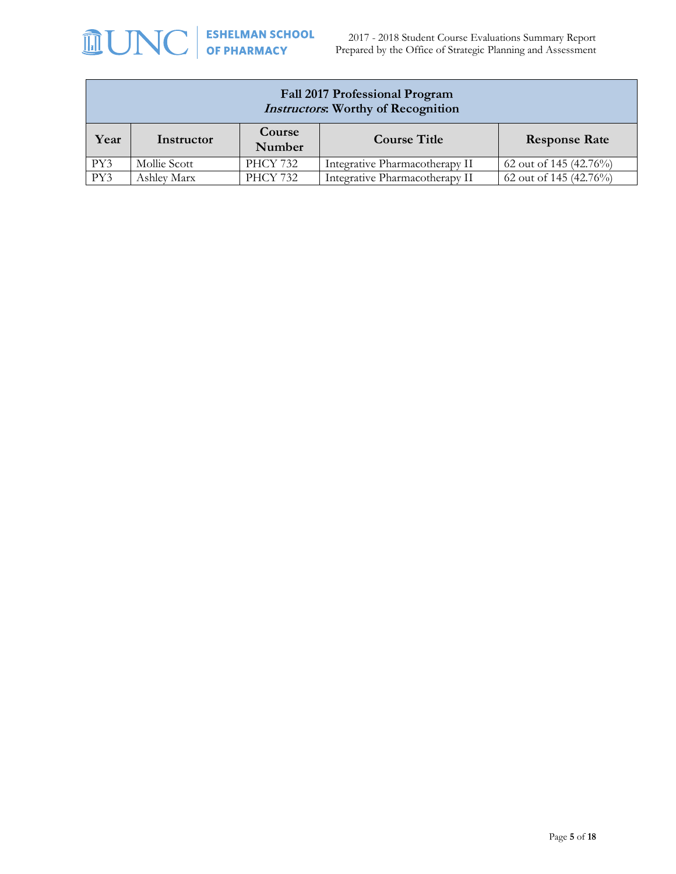| Fall 2017 Professional Program<br><b>Instructors:</b> Worthy of Recognition           |                                                                                             |                 |                                |                        |  |
|---------------------------------------------------------------------------------------|---------------------------------------------------------------------------------------------|-----------------|--------------------------------|------------------------|--|
| Course<br><b>Course Title</b><br>Year<br><b>Response Rate</b><br>Instructor<br>Number |                                                                                             |                 |                                |                        |  |
| PY3                                                                                   | <b>PHCY 732</b><br>62 out of 145 (42.76%)<br>Mollie Scott<br>Integrative Pharmacotherapy II |                 |                                |                        |  |
| PY3                                                                                   | Ashley Marx                                                                                 | <b>PHCY 732</b> | Integrative Pharmacotherapy II | 62 out of 145 (42.76%) |  |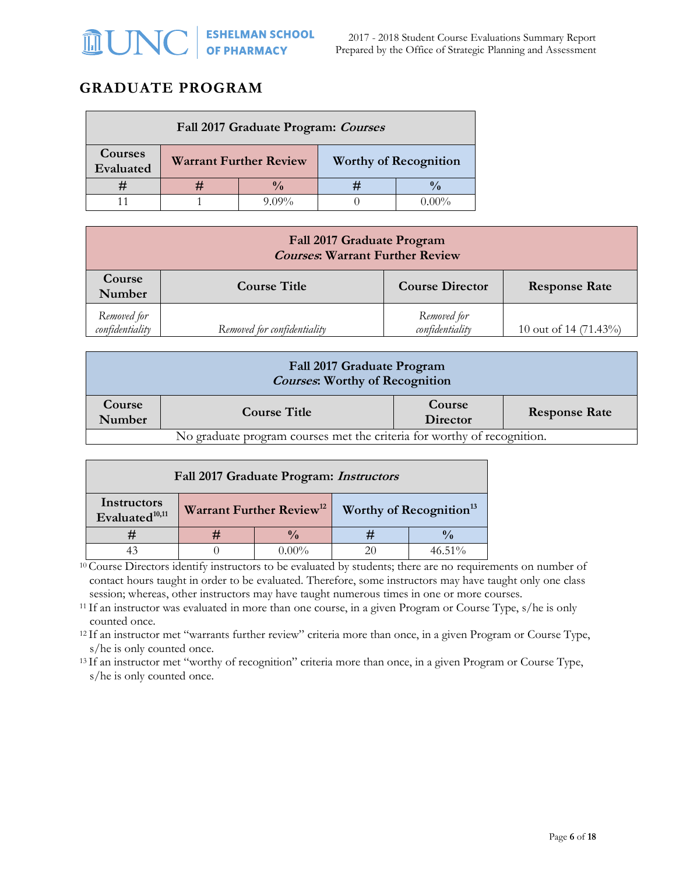### **GRADUATE PROGRAM**

| Fall 2017 Graduate Program: Courses |                                                               |       |  |        |  |
|-------------------------------------|---------------------------------------------------------------|-------|--|--------|--|
| <b>Courses</b><br>Evaluated         | <b>Worthy of Recognition</b><br><b>Warrant Further Review</b> |       |  |        |  |
|                                     |                                                               |       |  |        |  |
|                                     |                                                               | 0.00% |  | $00\%$ |  |

| <b>Fall 2017 Graduate Program</b><br><b>Courses: Warrant Further Review</b>               |                             |                                |                       |  |  |  |
|-------------------------------------------------------------------------------------------|-----------------------------|--------------------------------|-----------------------|--|--|--|
| Course<br><b>Course Title</b><br><b>Course Director</b><br><b>Response Rate</b><br>Number |                             |                                |                       |  |  |  |
| Removed for<br>confidentiality                                                            | Removed for confidentiality | Removed for<br>confidentiality | 10 out of 14 (71.43%) |  |  |  |

| Fall 2017 Graduate Program<br><b>Courses: Worthy of Recognition</b>     |                     |                    |                      |  |  |  |
|-------------------------------------------------------------------------|---------------------|--------------------|----------------------|--|--|--|
| Course<br>Number                                                        | <b>Course Title</b> | Course<br>Director | <b>Response Rate</b> |  |  |  |
| No graduate program courses met the criteria for worthy of recognition. |                     |                    |                      |  |  |  |

| Fall 2017 Graduate Program: <i>Instructors</i>   |               |                                      |                                     |           |  |  |
|--------------------------------------------------|---------------|--------------------------------------|-------------------------------------|-----------|--|--|
| <b>Instructors</b><br>Evaluated <sup>10,11</sup> |               | Warrant Further Review <sup>12</sup> | Worthy of Recognition <sup>13</sup> |           |  |  |
|                                                  | $\frac{0}{0}$ |                                      |                                     |           |  |  |
|                                                  |               | 0.00%                                | 20                                  | $46.51\%$ |  |  |

<sup>10</sup> Course Directors identify instructors to be evaluated by students; there are no requirements on number of contact hours taught in order to be evaluated. Therefore, some instructors may have taught only one class session; whereas, other instructors may have taught numerous times in one or more courses.

<sup>11</sup> If an instructor was evaluated in more than one course, in a given Program or Course Type, s/he is only counted once.

<sup>12</sup>If an instructor met "warrants further review" criteria more than once, in a given Program or Course Type, s/he is only counted once.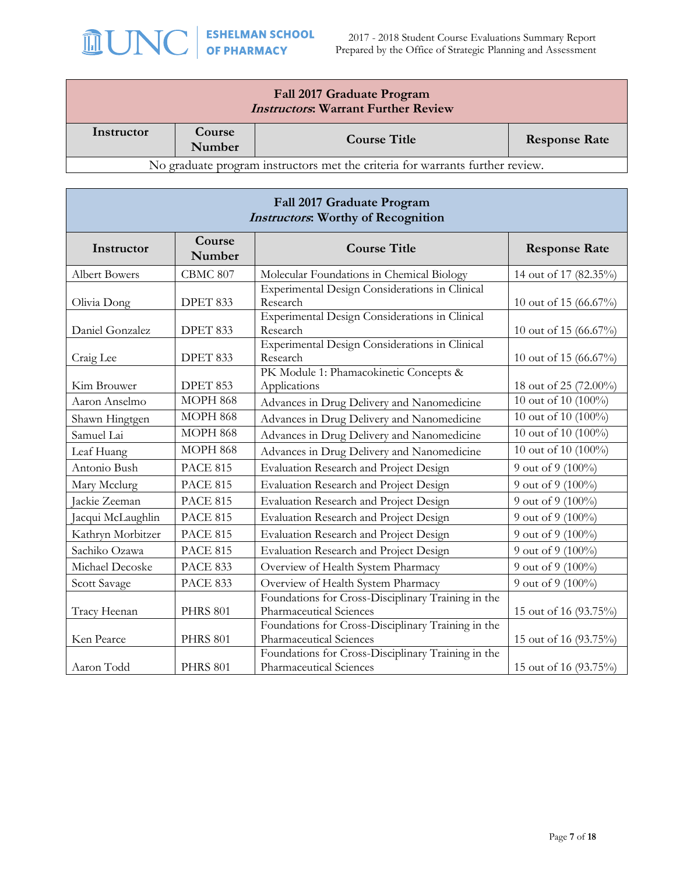

2017 - 2018 Student Course Evaluations Summary Report Prepared by the Office of Strategic Planning and Assessment

| Fall 2017 Graduate Program<br><b>Instructors: Warrant Further Review</b>      |                  |                     |                      |  |  |  |
|-------------------------------------------------------------------------------|------------------|---------------------|----------------------|--|--|--|
| Instructor                                                                    | Course<br>Number | <b>Course Title</b> | <b>Response Rate</b> |  |  |  |
| No graduate program instructors met the criteria for warrants further review. |                  |                     |                      |  |  |  |

| Fall 2017 Graduate Program<br><b>Instructors:</b> Worthy of Recognition |                                         |                                                                               |                        |  |  |
|-------------------------------------------------------------------------|-----------------------------------------|-------------------------------------------------------------------------------|------------------------|--|--|
| Instructor                                                              | Course<br><b>Course Title</b><br>Number |                                                                               | <b>Response Rate</b>   |  |  |
| <b>Albert Bowers</b>                                                    | CBMC 807                                | Molecular Foundations in Chemical Biology                                     | 14 out of 17 (82.35%)  |  |  |
| Olivia Dong                                                             | DPET 833                                | Experimental Design Considerations in Clinical<br>Research                    | 10 out of 15 (66.67%)  |  |  |
| Daniel Gonzalez                                                         | DPET 833                                | Experimental Design Considerations in Clinical<br>Research                    | 10 out of 15 (66.67%)  |  |  |
| Craig Lee                                                               | DPET 833                                | Experimental Design Considerations in Clinical<br>Research                    | 10 out of 15 (66.67%)  |  |  |
| Kim Brouwer                                                             | DPET 853                                | PK Module 1: Phamacokinetic Concepts &<br>Applications                        | 18 out of 25 (72.00%)  |  |  |
| Aaron Anselmo                                                           | <b>MOPH 868</b>                         | Advances in Drug Delivery and Nanomedicine                                    | 10 out of 10 (100%)    |  |  |
| Shawn Hingtgen                                                          | <b>MOPH 868</b>                         | Advances in Drug Delivery and Nanomedicine                                    | 10 out of 10 (100%)    |  |  |
| Samuel Lai                                                              | <b>MOPH 868</b>                         | Advances in Drug Delivery and Nanomedicine                                    | 10 out of 10 (100%)    |  |  |
| Leaf Huang                                                              | <b>MOPH 868</b>                         | Advances in Drug Delivery and Nanomedicine                                    | 10 out of 10 $(100\%)$ |  |  |
| Antonio Bush                                                            | <b>PACE 815</b>                         | Evaluation Research and Project Design                                        | 9 out of 9 (100%)      |  |  |
| Mary Mcclurg                                                            | <b>PACE 815</b>                         | Evaluation Research and Project Design                                        | 9 out of 9 (100%)      |  |  |
| Jackie Zeeman                                                           | <b>PACE 815</b>                         | Evaluation Research and Project Design                                        | 9 out of 9 (100%)      |  |  |
| acqui McLaughlin                                                        | <b>PACE 815</b>                         | Evaluation Research and Project Design                                        | 9 out of 9 (100%)      |  |  |
| Kathryn Morbitzer                                                       | <b>PACE 815</b>                         | Evaluation Research and Project Design                                        | 9 out of 9 (100%)      |  |  |
| Sachiko Ozawa                                                           | <b>PACE 815</b>                         | Evaluation Research and Project Design                                        | 9 out of 9 (100%)      |  |  |
| Michael Decoske                                                         | <b>PACE 833</b>                         | Overview of Health System Pharmacy                                            | 9 out of 9 (100%)      |  |  |
| Scott Savage                                                            | <b>PACE 833</b>                         | Overview of Health System Pharmacy                                            | 9 out of 9 (100%)      |  |  |
| Tracy Heenan                                                            | <b>PHRS 801</b>                         | Foundations for Cross-Disciplinary Training in the<br>Pharmaceutical Sciences | 15 out of 16 (93.75%)  |  |  |
| Ken Pearce                                                              | <b>PHRS 801</b>                         | Foundations for Cross-Disciplinary Training in the<br>Pharmaceutical Sciences | 15 out of 16 (93.75%)  |  |  |
| Aaron Todd                                                              | <b>PHRS 801</b>                         | Foundations for Cross-Disciplinary Training in the<br>Pharmaceutical Sciences | 15 out of 16 (93.75%)  |  |  |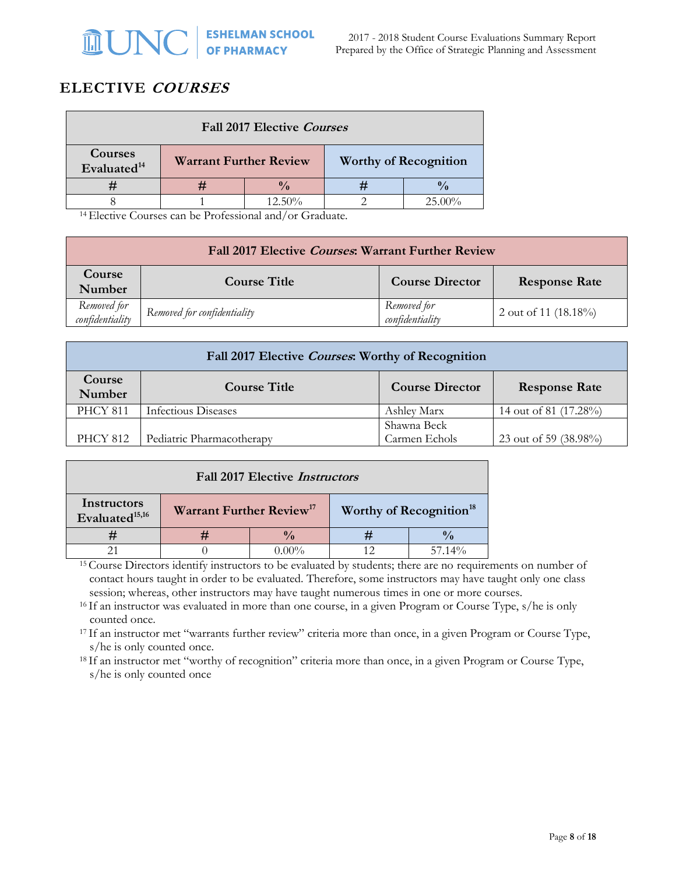## **ELECTIVE COURSES**

| <b>Fall 2017 Elective Courses</b>  |                               |           |  |                              |  |  |
|------------------------------------|-------------------------------|-----------|--|------------------------------|--|--|
| Courses<br>Evaluated <sup>14</sup> | <b>Warrant Further Review</b> |           |  | <b>Worthy of Recognition</b> |  |  |
|                                    | $\frac{0}{\alpha}$            |           |  |                              |  |  |
|                                    |                               | $12.50\%$ |  | 25.00%                       |  |  |

<sup>14</sup>Elective Courses can be Professional and/or Graduate.

| Fall 2017 Elective Courses: Warrant Further Review |                             |                                |                         |  |  |  |
|----------------------------------------------------|-----------------------------|--------------------------------|-------------------------|--|--|--|
| Course<br>Number                                   | <b>Course Title</b>         | <b>Course Director</b>         | <b>Response Rate</b>    |  |  |  |
| Removed for<br>confidentiality                     | Removed for confidentiality | Removed for<br>confidentiality | 2 out of 11 $(18.18\%)$ |  |  |  |

| Fall 2017 Elective Courses: Worthy of Recognition |                                                                       |                              |                       |  |  |  |
|---------------------------------------------------|-----------------------------------------------------------------------|------------------------------|-----------------------|--|--|--|
| Course<br>Number                                  | <b>Course Title</b><br><b>Course Director</b><br><b>Response Rate</b> |                              |                       |  |  |  |
| <b>PHCY 811</b>                                   | Infectious Diseases                                                   | Ashley Marx                  | 14 out of 81 (17.28%) |  |  |  |
| PHCY 812                                          | Pediatric Pharmacotherapy                                             | Shawna Beck<br>Carmen Echols | 23 out of 59 (38.98%) |  |  |  |

| <b>Fall 2017 Elective Instructors</b>                                                                                    |  |  |  |           |  |  |
|--------------------------------------------------------------------------------------------------------------------------|--|--|--|-----------|--|--|
| Instructors<br>Warrant Further Review <sup>17</sup><br>Worthy of Recognition <sup>18</sup><br>Evaluated <sup>15,16</sup> |  |  |  |           |  |  |
|                                                                                                                          |  |  |  |           |  |  |
|                                                                                                                          |  |  |  | $57.14\%$ |  |  |

<sup>15</sup>Course Directors identify instructors to be evaluated by students; there are no requirements on number of contact hours taught in order to be evaluated. Therefore, some instructors may have taught only one class session; whereas, other instructors may have taught numerous times in one or more courses.

<sup>16</sup> If an instructor was evaluated in more than one course, in a given Program or Course Type, s/he is only counted once.

<sup>17</sup> If an instructor met "warrants further review" criteria more than once, in a given Program or Course Type, s/he is only counted once.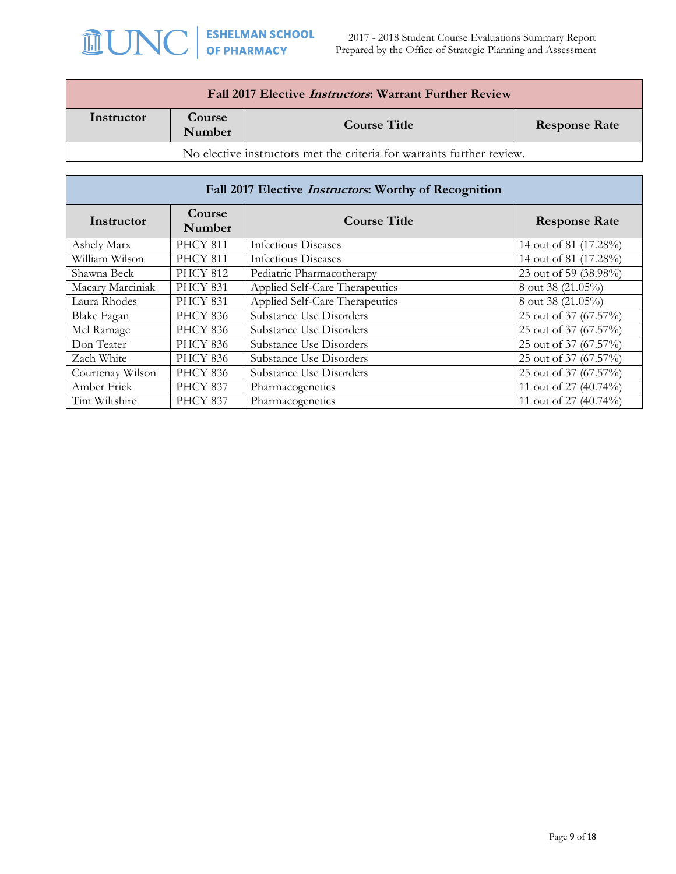2017 - 2018 Student Course Evaluations Summary Report Prepared by the Office of Strategic Planning and Assessment

| Fall 2017 Elective <i>Instructors</i> : Warrant Further Review        |                                                                 |  |  |  |  |  |
|-----------------------------------------------------------------------|-----------------------------------------------------------------|--|--|--|--|--|
| Instructor                                                            | Course<br><b>Course Title</b><br><b>Response Rate</b><br>Number |  |  |  |  |  |
| No elective instructors met the criteria for warrants further review. |                                                                 |  |  |  |  |  |

| Fall 2017 Elective <i>Instructors</i> : Worthy of Recognition |                      |                                |                       |  |  |
|---------------------------------------------------------------|----------------------|--------------------------------|-----------------------|--|--|
| Instructor                                                    | <b>Response Rate</b> |                                |                       |  |  |
| Ashely Marx                                                   | <b>PHCY 811</b>      | Infectious Diseases            | 14 out of 81 (17.28%) |  |  |
| William Wilson                                                | <b>PHCY 811</b>      | <b>Infectious Diseases</b>     | 14 out of 81 (17.28%) |  |  |
| Shawna Beck                                                   | <b>PHCY 812</b>      | Pediatric Pharmacotherapy      | 23 out of 59 (38.98%) |  |  |
| Macary Marciniak                                              | <b>PHCY 831</b>      | Applied Self-Care Therapeutics | 8 out 38 (21.05%)     |  |  |
| Laura Rhodes                                                  | <b>PHCY 831</b>      | Applied Self-Care Therapeutics | 8 out 38 (21.05%)     |  |  |
| Blake Fagan                                                   | <b>PHCY 836</b>      | Substance Use Disorders        | 25 out of 37 (67.57%) |  |  |
| Mel Ramage                                                    | <b>PHCY 836</b>      | Substance Use Disorders        | 25 out of 37 (67.57%) |  |  |
| Don Teater                                                    | <b>PHCY 836</b>      | Substance Use Disorders        | 25 out of 37 (67.57%) |  |  |
| Zach White                                                    | <b>PHCY 836</b>      | Substance Use Disorders        | 25 out of 37 (67.57%) |  |  |
| Courtenay Wilson                                              | <b>PHCY 836</b>      | Substance Use Disorders        | 25 out of 37 (67.57%) |  |  |
| Amber Frick                                                   | <b>PHCY 837</b>      | Pharmacogenetics               | 11 out of 27 (40.74%) |  |  |
| Tim Wiltshire                                                 | <b>PHCY 837</b>      | Pharmacogenetics               | 11 out of 27 (40.74%) |  |  |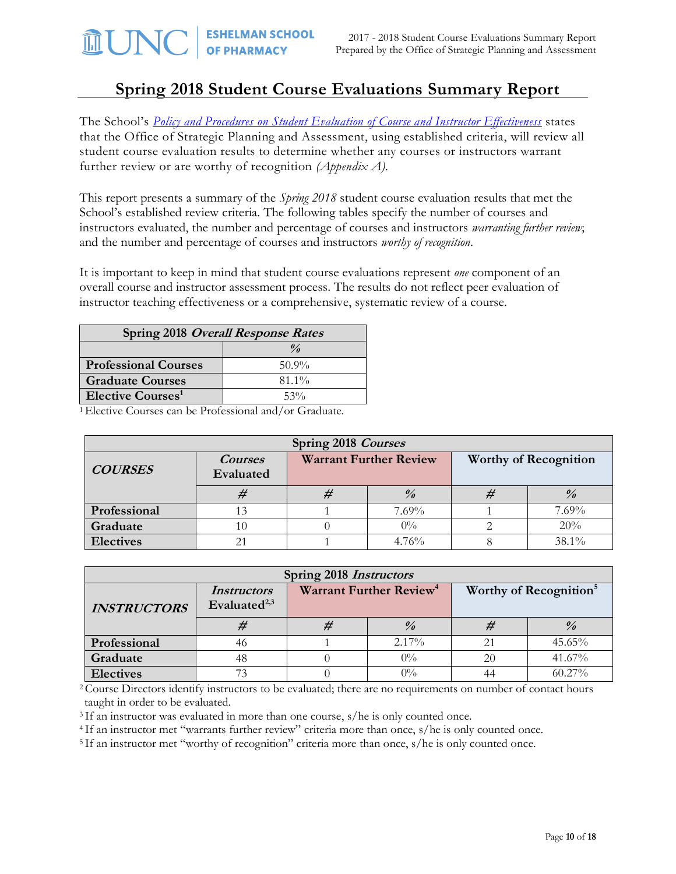# **Spring 2018 Student Course Evaluations Summary Report**

The School's *Policy and Procedures on [Student Evaluation of Course and Instructor Effectiveness](http://faopharmacy.unc.edu/files/2015/05/Course-Evaluation-Policy-and-Procedures-5-7-141.pdf)* states that the Office of Strategic Planning and Assessment, using established criteria, will review all student course evaluation results to determine whether any courses or instructors warrant further review or are worthy of recognition *(Appendix A).*

This report presents a summary of the *Spring 2018* student course evaluation results that met the School's established review criteria. The following tables specify the number of courses and instructors evaluated, the number and percentage of courses and instructors *warranting further review*; and the number and percentage of courses and instructors *worthy of recognition*.

It is important to keep in mind that student course evaluations represent *one* component of an overall course and instructor assessment process. The results do not reflect peer evaluation of instructor teaching effectiveness or a comprehensive, systematic review of a course.

| Spring 2018 Overall Response Rates   |                    |  |  |
|--------------------------------------|--------------------|--|--|
|                                      | $\frac{\theta}{a}$ |  |  |
| <b>Professional Courses</b>          | $50.9\%$           |  |  |
| <b>Graduate Courses</b>              | $81.1\%$           |  |  |
| <b>Elective Courses</b> <sup>1</sup> | 53%                |  |  |

<sup>1</sup>Elective Courses can be Professional and/or Graduate.

| Spring 2018 Courses |                             |  |                               |  |                              |  |
|---------------------|-----------------------------|--|-------------------------------|--|------------------------------|--|
| <b>COURSES</b>      | <b>Courses</b><br>Evaluated |  | <b>Warrant Further Review</b> |  | <b>Worthy of Recognition</b> |  |
|                     |                             |  | $\frac{9}{6}$                 |  |                              |  |
| Professional        | 13                          |  | $7.69\%$                      |  | 7.69%                        |  |
| Graduate            | 10                          |  | $0\%$                         |  | 20%                          |  |
| <b>Electives</b>    |                             |  | 4.76%                         |  | 38.1%                        |  |

| Spring 2018 <i>Instructors</i> |                                                |                                     |               |                                    |               |  |
|--------------------------------|------------------------------------------------|-------------------------------------|---------------|------------------------------------|---------------|--|
| <b>INSTRUCTORS</b>             | <i>Instructors</i><br>Evaluated <sup>2,3</sup> | Warrant Further Review <sup>4</sup> |               | Worthy of Recognition <sup>5</sup> |               |  |
|                                | #                                              | #                                   | $\frac{0}{0}$ |                                    | $\frac{0}{a}$ |  |
| Professional                   | 46                                             |                                     | $2.17\%$      |                                    | 45.65%        |  |
| Graduate                       | 48                                             |                                     | $0\%$         | 20                                 | 41.67%        |  |
| <b>Electives</b>               | 73                                             |                                     | $0\%$         |                                    | $60.27\%$     |  |

<sup>2</sup>Course Directors identify instructors to be evaluated; there are no requirements on number of contact hours taught in order to be evaluated.

<sup>3</sup> If an instructor was evaluated in more than one course, s/he is only counted once.

<sup>4</sup> If an instructor met "warrants further review" criteria more than once, s/he is only counted once.

<sup>5</sup>If an instructor met "worthy of recognition" criteria more than once, s/he is only counted once.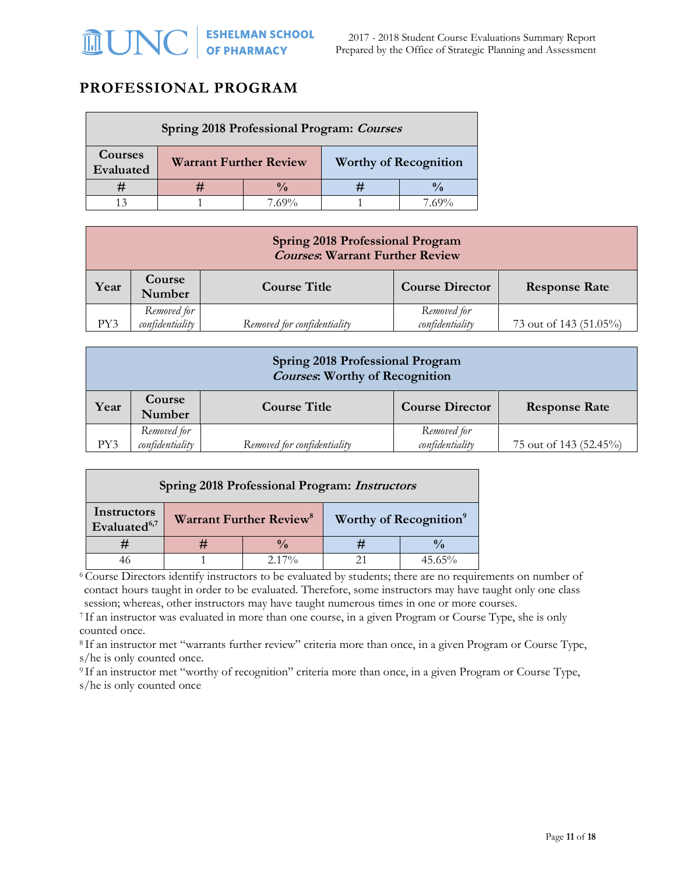### **PROFESSIONAL PROGRAM**

| Spring 2018 Professional Program: Courses |                                                               |               |  |       |
|-------------------------------------------|---------------------------------------------------------------|---------------|--|-------|
| Courses<br>Evaluated                      | <b>Worthy of Recognition</b><br><b>Warrant Further Review</b> |               |  |       |
|                                           |                                                               | $\frac{0}{0}$ |  |       |
|                                           |                                                               | $7.69\%$      |  | 7.69% |

| <b>Spring 2018 Professional Program</b><br><b>Courses: Warrant Further Review</b> |                                |                             |                                |                        |  |
|-----------------------------------------------------------------------------------|--------------------------------|-----------------------------|--------------------------------|------------------------|--|
| Year                                                                              | Course<br>Number               | <b>Course Title</b>         | <b>Course Director</b>         | <b>Response Rate</b>   |  |
| PY3                                                                               | Removed for<br>confidentiality | Removed for confidentiality | Removed for<br>confidentiality | 73 out of 143 (51.05%) |  |

| <b>Spring 2018 Professional Program</b><br><b>Courses: Worthy of Recognition</b> |                                                                                           |                             |                                |                        |  |
|----------------------------------------------------------------------------------|-------------------------------------------------------------------------------------------|-----------------------------|--------------------------------|------------------------|--|
| Year                                                                             | Course<br><b>Course Title</b><br><b>Course Director</b><br><b>Response Rate</b><br>Number |                             |                                |                        |  |
| PY3                                                                              | Removed for<br>confidentiality                                                            | Removed for confidentiality | Removed for<br>confidentiality | 75 out of 143 (52.45%) |  |

| Spring 2018 Professional Program: Instructors |  |                                     |  |                                    |  |
|-----------------------------------------------|--|-------------------------------------|--|------------------------------------|--|
| Instructors<br>Evaluated <sup>6,7</sup>       |  | Warrant Further Review <sup>8</sup> |  | Worthy of Recognition <sup>9</sup> |  |
|                                               |  |                                     |  |                                    |  |
|                                               |  | $2.17\%$                            |  | $45.65\%$                          |  |

<sup>6</sup>Course Directors identify instructors to be evaluated by students; there are no requirements on number of contact hours taught in order to be evaluated. Therefore, some instructors may have taught only one class

session; whereas, other instructors may have taught numerous times in one or more courses.

<sup>7</sup> If an instructor was evaluated in more than one course, in a given Program or Course Type, she is only counted once.

<sup>8</sup> If an instructor met "warrants further review" criteria more than once, in a given Program or Course Type, s/he is only counted once.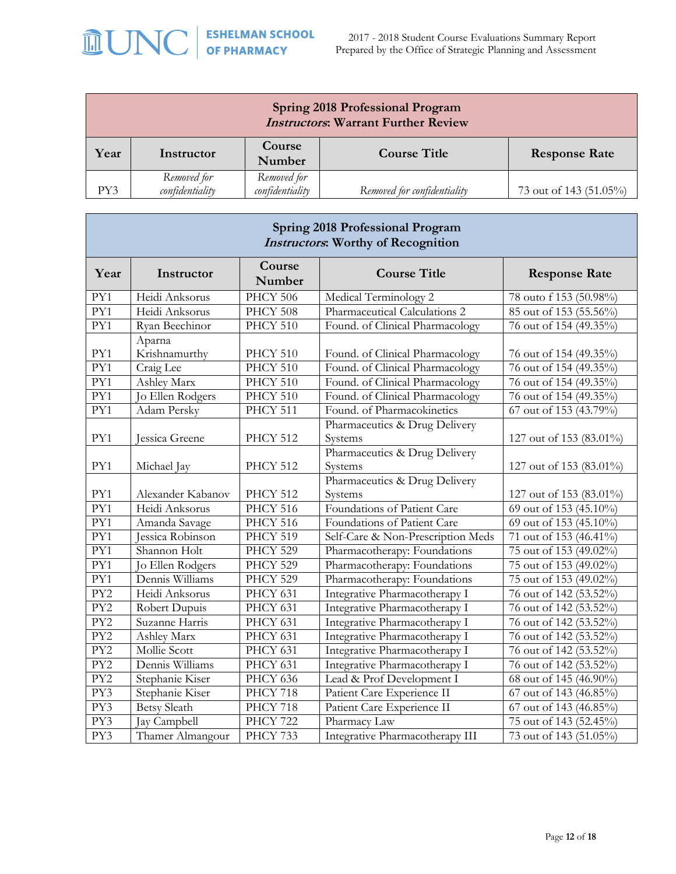# **MUNC** SEPLE AND SCHOOL

| <b>Spring 2018 Professional Program</b><br><b>Instructors: Warrant Further Review</b>                                            |  |  |  |                      |
|----------------------------------------------------------------------------------------------------------------------------------|--|--|--|----------------------|
| Course<br>Year<br><b>Course Title</b><br>Instructor<br>Number                                                                    |  |  |  | <b>Response Rate</b> |
| Removed for<br>Removed for<br>confidentiality<br>confidentiality<br>PY3<br>73 out of 143 (51.05%)<br>Removed for confidentiality |  |  |  |                      |

| <b>Spring 2018 Professional Program</b><br><b>Instructors: Worthy of Recognition</b> |                         |                  |                                          |                                     |
|--------------------------------------------------------------------------------------|-------------------------|------------------|------------------------------------------|-------------------------------------|
| Year                                                                                 | Instructor              | Course<br>Number | <b>Course Title</b>                      | <b>Response Rate</b>                |
| PY1                                                                                  | Heidi Anksorus          | <b>PHCY 506</b>  | Medical Terminology 2                    | 78 outo f 153 (50.98%)              |
| PY1                                                                                  | Heidi Anksorus          | PHCY 508         | Pharmaceutical Calculations 2            | 85 out of 153 (55.56%)              |
| PY1                                                                                  | Ryan Beechinor          | PHCY 510         | Found. of Clinical Pharmacology          | 76 out of 154 (49.35%)              |
| PY1                                                                                  | Aparna<br>Krishnamurthy | PHCY 510         | Found. of Clinical Pharmacology          | 76 out of 154 (49.35%)              |
| PY1                                                                                  | Craig Lee               | PHCY 510         | Found. of Clinical Pharmacology          | 76 out of 154 (49.35%)              |
| PY1                                                                                  | Ashley Marx             | PHCY 510         | Found. of Clinical Pharmacology          | 76 out of 154 (49.35%)              |
| PY1                                                                                  | Jo Ellen Rodgers        | PHCY 510         | Found. of Clinical Pharmacology          | 76 out of 154 (49.35%)              |
| PY1                                                                                  | Adam Persky             | PHCY 511         | Found. of Pharmacokinetics               | 67 out of 153 (43.79%)              |
| PY1                                                                                  | Jessica Greene          | PHCY 512         | Pharmaceutics & Drug Delivery<br>Systems | 127 out of 153 (83.01%)             |
| PY1                                                                                  | Michael Jay             | PHCY 512         | Pharmaceutics & Drug Delivery<br>Systems | 127 out of 153 (83.01%)             |
| PY1                                                                                  | Alexander Kabanov       | PHCY 512         | Pharmaceutics & Drug Delivery<br>Systems | 127 out of 153 (83.01%)             |
| PY1                                                                                  | Heidi Anksorus          | PHCY 516         | Foundations of Patient Care              | $\overline{69}$ out of 153 (45.10%) |
| PY1                                                                                  | Amanda Savage           | PHCY 516         | Foundations of Patient Care              | 69 out of 153 (45.10%)              |
| PY1                                                                                  | Jessica Robinson        | PHCY 519         | Self-Care & Non-Prescription Meds        | 71 out of 153 (46.41%)              |
| PY1                                                                                  | Shannon Holt            | PHCY 529         | Pharmacotherapy: Foundations             | $\overline{75}$ out of 153 (49.02%) |
| PY1                                                                                  | Jo Ellen Rodgers        | <b>PHCY 529</b>  | Pharmacotherapy: Foundations             | 75 out of 153 (49.02%)              |
| PY1                                                                                  | Dennis Williams         | PHCY 529         | Pharmacotherapy: Foundations             | 75 out of 153 (49.02%)              |
| PY2                                                                                  | Heidi Anksorus          | PHCY 631         | Integrative Pharmacotherapy I            | 76 out of 142 (53.52%)              |
| PY2                                                                                  | Robert Dupuis           | PHCY 631         | Integrative Pharmacotherapy I            | 76 out of 142 (53.52%)              |
| PY2                                                                                  | Suzanne Harris          | PHCY 631         | Integrative Pharmacotherapy I            | 76 out of 142 (53.52%)              |
| PY <sub>2</sub>                                                                      | Ashley Marx             | PHCY 631         | Integrative Pharmacotherapy I            | 76 out of 142 (53.52%)              |
| PY <sub>2</sub>                                                                      | Mollie Scott            | PHCY 631         | Integrative Pharmacotherapy I            | 76 out of 142 (53.52%)              |
| PY <sub>2</sub>                                                                      | Dennis Williams         | <b>PHCY 631</b>  | Integrative Pharmacotherapy I            | 76 out of 142 (53.52%)              |
| PY <sub>2</sub>                                                                      | Stephanie Kiser         | PHCY 636         | Lead & Prof Development I                | 68 out of 145 (46.90%)              |
| PY3                                                                                  | Stephanie Kiser         | <b>PHCY 718</b>  | Patient Care Experience II               | 67 out of 143 (46.85%)              |
| PY3                                                                                  | <b>Betsy Sleath</b>     | PHCY 718         | Patient Care Experience II               | 67 out of 143 (46.85%)              |
| PY3                                                                                  | Jay Campbell            | <b>PHCY 722</b>  | Pharmacy Law                             | 75 out of 143 (52.45%)              |
| PY3                                                                                  | Thamer Almangour        | PHCY 733         | Integrative Pharmacotherapy III          | 73 out of 143 (51.05%)              |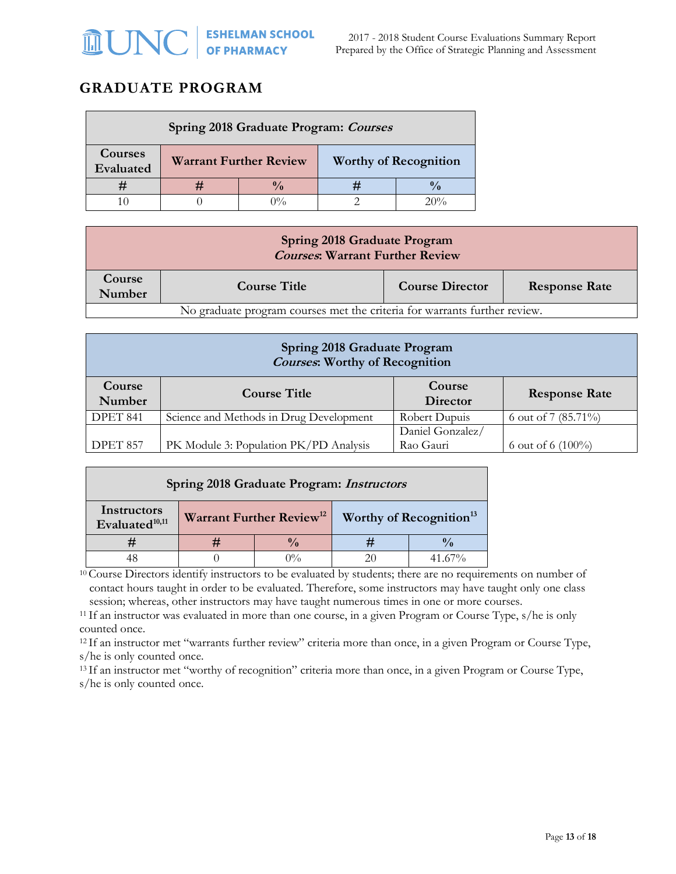### **GRADUATE PROGRAM**

| Spring 2018 Graduate Program: Courses |  |                               |                              |  |
|---------------------------------------|--|-------------------------------|------------------------------|--|
| Courses<br>Evaluated                  |  | <b>Warrant Further Review</b> | <b>Worthy of Recognition</b> |  |
|                                       |  | $\mathbf{0}$                  |                              |  |
|                                       |  |                               |                              |  |

| <b>Spring 2018 Graduate Program</b><br><b>Courses: Warrant Further Review</b> |                     |                        |                      |  |
|-------------------------------------------------------------------------------|---------------------|------------------------|----------------------|--|
| Course<br>Number                                                              | <b>Course Title</b> | <b>Course Director</b> | <b>Response Rate</b> |  |
| No graduate program courses met the criteria for warrants further review.     |                     |                        |                      |  |

| Spring 2018 Graduate Program<br><b>Courses: Worthy of Recognition</b>                                       |                                         |               |                     |  |  |
|-------------------------------------------------------------------------------------------------------------|-----------------------------------------|---------------|---------------------|--|--|
| Course<br>Course<br><b>Course Title</b><br><b>Response Rate</b><br>Number<br>Director                       |                                         |               |                     |  |  |
| DPET 841                                                                                                    | Science and Methods in Drug Development | Robert Dupuis | 6 out of 7 (85.71%) |  |  |
| Daniel Gonzalez/<br>PK Module 3: Population PK/PD Analysis<br>Rao Gauri<br>DPET 857<br>6 out of 6 $(100\%)$ |                                         |               |                     |  |  |

| Spring 2018 Graduate Program: <i>Instructors</i> |                    |                                      |  |                                     |
|--------------------------------------------------|--------------------|--------------------------------------|--|-------------------------------------|
| Instructors<br>Evaluated <sup>10,11</sup>        |                    | Warrant Further Review <sup>12</sup> |  | Worthy of Recognition <sup>13</sup> |
|                                                  | $\frac{0}{\alpha}$ |                                      |  |                                     |
|                                                  |                    | 707                                  |  | 41.67%                              |

<sup>10</sup> Course Directors identify instructors to be evaluated by students; there are no requirements on number of contact hours taught in order to be evaluated. Therefore, some instructors may have taught only one class session; whereas, other instructors may have taught numerous times in one or more courses.

<sup>11</sup> If an instructor was evaluated in more than one course, in a given Program or Course Type, s/he is only counted once.

<sup>12</sup> If an instructor met "warrants further review" criteria more than once, in a given Program or Course Type, s/he is only counted once.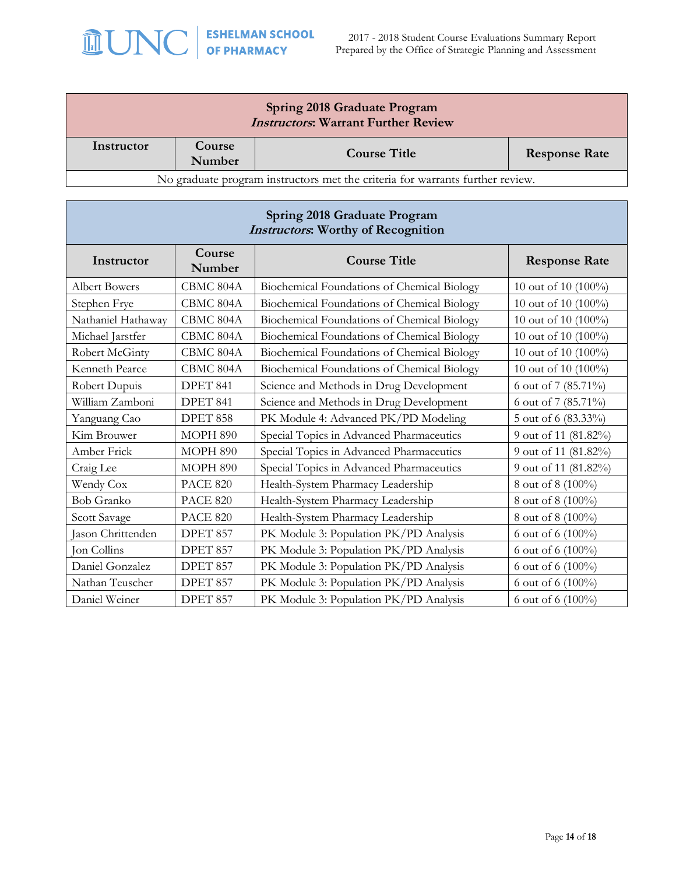

| <b>Spring 2018 Graduate Program</b><br><b>Instructors: Warrant Further Review</b> |                  |                                                                               |                        |  |
|-----------------------------------------------------------------------------------|------------------|-------------------------------------------------------------------------------|------------------------|--|
| Instructor                                                                        | Course<br>Number | <b>Course Title</b>                                                           | <b>Response Rate</b>   |  |
|                                                                                   |                  | No graduate program instructors met the criteria for warrants further review. |                        |  |
| Spring 2018 Graduate Program<br><b>Instructors:</b> Worthy of Recognition         |                  |                                                                               |                        |  |
| Instructor                                                                        | Course<br>Number | <b>Course Title</b>                                                           | <b>Response Rate</b>   |  |
| <b>Albert Bowers</b>                                                              | CBMC 804A        | Biochemical Foundations of Chemical Biology                                   | 10 out of 10 $(100\%)$ |  |
| Stephen Frye                                                                      | CBMC 804A        | Biochemical Foundations of Chemical Biology                                   | 10 out of 10 $(100\%)$ |  |
| Nathaniel Hathaway                                                                | CBMC 804A        | Biochemical Foundations of Chemical Biology                                   | 10 out of 10 (100%)    |  |
| Michael Jarstfer                                                                  | CBMC 804A        | Biochemical Foundations of Chemical Biology                                   | 10 out of 10 $(100\%)$ |  |
| Robert McGinty                                                                    | CBMC 804A        | Biochemical Foundations of Chemical Biology                                   | 10 out of 10 $(100\%)$ |  |
| Kenneth Pearce                                                                    | CBMC 804A        | Biochemical Foundations of Chemical Biology                                   | 10 out of 10 (100%)    |  |
| Robert Dupuis                                                                     | DPET 841         | Science and Methods in Drug Development                                       | 6 out of 7 (85.71%)    |  |
| William Zamboni                                                                   | DPET 841         | Science and Methods in Drug Development                                       | 6 out of 7 (85.71%)    |  |
| Yanguang Cao                                                                      | <b>DPET 858</b>  | PK Module 4: Advanced PK/PD Modeling                                          | 5 out of 6 (83.33%)    |  |

Kim Brouwer MOPH 890 Special Topics in Advanced Pharmaceutics 9 out of 11 (81.82%) Amber Frick MOPH 890 Special Topics in Advanced Pharmaceutics 9 out of 11 (81.82%) Craig Lee MOPH 890 Special Topics in Advanced Pharmaceutics 9 out of 11 (81.82%) Wendy Cox PACE 820 Health-System Pharmacy Leadership 8 out of 8 (100%) Bob Granko PACE 820 Health-System Pharmacy Leadership 8 out of 8 (100%) Scott Savage PACE 820 Health-System Pharmacy Leadership 8 out of 8 (100%) Jason Chrittenden | DPET 857 | PK Module 3: Population PK/PD Analysis | 6 out of 6 (100%) Jon Collins  $\vert$  DPET 857 PK Module 3: Population PK/PD Analysis  $\vert$  6 out of 6 (100%) Daniel Gonzalez DPET 857 PK Module 3: Population PK/PD Analysis 6 out of 6 (100%) Nathan Teuscher | DPET 857 | PK Module 3: Population PK/PD Analysis | 6 out of 6 (100%) Daniel Weiner | DPET 857 | PK Module 3: Population PK/PD Analysis | 6 out of 6 (100%)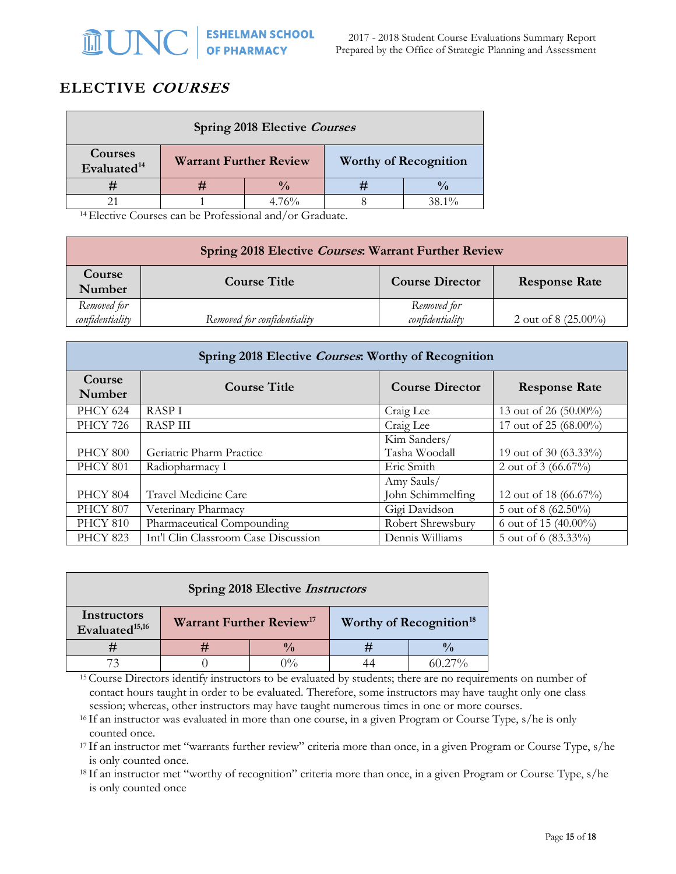## **ELECTIVE COURSES**

| <b>Spring 2018 Elective Courses</b> |                               |          |  |                              |
|-------------------------------------|-------------------------------|----------|--|------------------------------|
| Courses<br>Evaluated <sup>14</sup>  | <b>Warrant Further Review</b> |          |  | <b>Worthy of Recognition</b> |
|                                     |                               |          |  |                              |
|                                     |                               | $4.76\%$ |  | $38.1\%$                     |

<sup>14</sup>Elective Courses can be Professional and/or Graduate.

| Spring 2018 Elective Courses: Warrant Further Review |                             |                                |                        |  |
|------------------------------------------------------|-----------------------------|--------------------------------|------------------------|--|
| Course<br>Number                                     | <b>Course Title</b>         | <b>Course Director</b>         | <b>Response Rate</b>   |  |
| Removed for<br>confidentiality                       | Removed for confidentiality | Removed for<br>confidentiality | 2 out of 8 $(25.00\%)$ |  |

| Spring 2018 Elective Courses: Worthy of Recognition |                                      |                        |                        |  |  |
|-----------------------------------------------------|--------------------------------------|------------------------|------------------------|--|--|
| Course<br>Number                                    | <b>Course Title</b>                  | <b>Course Director</b> | <b>Response Rate</b>   |  |  |
| <b>PHCY 624</b>                                     | <b>RASPI</b>                         | Craig Lee              | 13 out of 26 (50.00%)  |  |  |
| <b>PHCY 726</b>                                     | <b>RASP III</b>                      | Craig Lee              | 17 out of 25 (68.00%)  |  |  |
|                                                     |                                      | Kim Sanders/           |                        |  |  |
| PHCY 800                                            | Geriatric Pharm Practice             | Tasha Woodall          | 19 out of 30 (63.33%)  |  |  |
| <b>PHCY 801</b>                                     | Radiopharmacy I                      | Eric Smith             | 2 out of 3 $(66.67\%)$ |  |  |
|                                                     |                                      | Amy Sauls/             |                        |  |  |
| <b>PHCY 804</b>                                     | Travel Medicine Care                 | John Schimmelfing      | 12 out of 18 (66.67%)  |  |  |
| <b>PHCY 807</b>                                     | Veterinary Pharmacy                  | Gigi Davidson          | 5 out of 8 (62.50%)    |  |  |
| PHCY 810                                            | Pharmaceutical Compounding           | Robert Shrewsbury      | 6 out of 15 (40.00%)   |  |  |
| <b>PHCY 823</b>                                     | Int'l Clin Classroom Case Discussion | Dennis Williams        | 5 out of 6 (83.33%)    |  |  |

| <b>Spring 2018 Elective Instructors</b>   |                                            |  |  |                                     |
|-------------------------------------------|--------------------------------------------|--|--|-------------------------------------|
| Instructors<br>Evaluated <sup>15,16</sup> | <b>Warrant Further Review<sup>17</sup></b> |  |  | Worthy of Recognition <sup>18</sup> |
|                                           |                                            |  |  |                                     |
|                                           |                                            |  |  |                                     |

<sup>15</sup> Course Directors identify instructors to be evaluated by students; there are no requirements on number of contact hours taught in order to be evaluated. Therefore, some instructors may have taught only one class session; whereas, other instructors may have taught numerous times in one or more courses.

<sup>16</sup> If an instructor was evaluated in more than one course, in a given Program or Course Type, s/he is only counted once.

<sup>17</sup> If an instructor met "warrants further review" criteria more than once, in a given Program or Course Type, s/he is only counted once.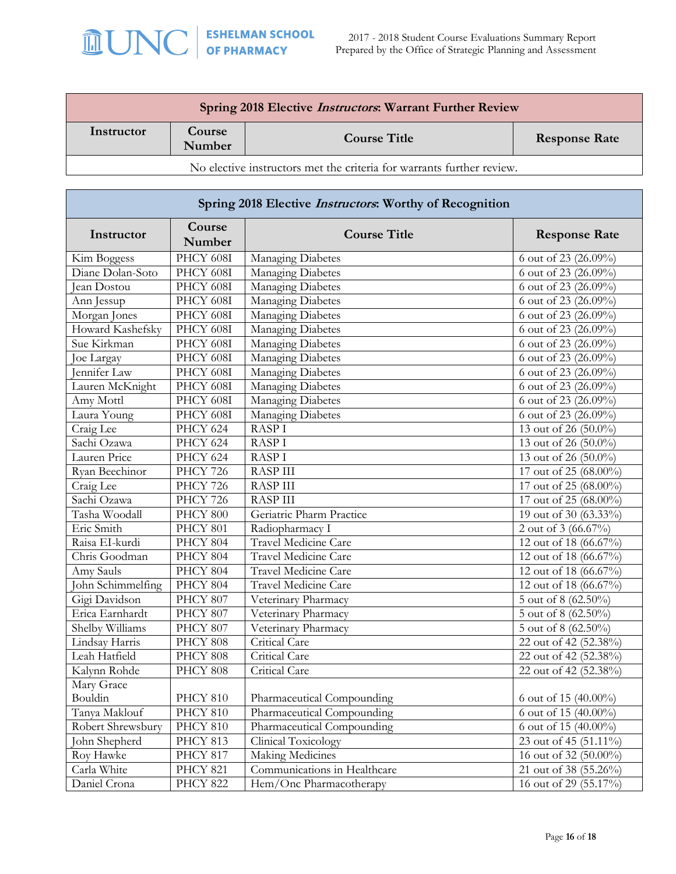| Spring 2018 Elective <i>Instructors</i> : Warrant Further Review      |                  |                     |                      |  |
|-----------------------------------------------------------------------|------------------|---------------------|----------------------|--|
| Instructor                                                            | Course<br>Number | <b>Course Title</b> | <b>Response Rate</b> |  |
| No elective instructors met the criteria for warrants further review. |                  |                     |                      |  |

| Spring 2018 Elective <i>Instructors</i> : Worthy of Recognition |                  |                              |                                        |  |
|-----------------------------------------------------------------|------------------|------------------------------|----------------------------------------|--|
| Instructor                                                      | Course<br>Number | <b>Course Title</b>          | <b>Response Rate</b>                   |  |
| Kim Boggess                                                     | PHCY 608I        | Managing Diabetes            | 6 out of 23 (26.09%)                   |  |
| Diane Dolan-Soto                                                | PHCY 608I        | Managing Diabetes            | 6 out of 23 (26.09%)                   |  |
| lean Dostou                                                     | PHCY 608I        | Managing Diabetes            | 6 out of 23 (26.09%)                   |  |
| Ann Jessup                                                      | PHCY 608I        | Managing Diabetes            | 6 out of 23 (26.09%)                   |  |
| Morgan Jones                                                    | PHCY 608I        | Managing Diabetes            | $\frac{1}{6}$ out of 23 (26.09%)       |  |
| Howard Kashefsky                                                | PHCY 608I        | Managing Diabetes            | 6 out of 23 (26.09%)                   |  |
| Sue Kirkman                                                     | PHCY 608I        | Managing Diabetes            | 6 out of 23 (26.09%)                   |  |
| Joe Largay                                                      | PHCY 608I        | Managing Diabetes            | 6 out of 23 (26.09%)                   |  |
| ennifer Law                                                     | PHCY 608I        | Managing Diabetes            | 6 out of 23 (26.09%)                   |  |
| Lauren McKnight                                                 | PHCY 608I        | Managing Diabetes            | 6 out of 23 (26.09%)                   |  |
| Amy Mottl                                                       | PHCY 608I        | Managing Diabetes            | 6 out of 23 (26.09%)                   |  |
| Laura Young                                                     | PHCY 608I        | <b>Managing Diabetes</b>     | 6 out of 23 (26.09%)                   |  |
| Craig Lee                                                       | <b>PHCY 624</b>  | <b>RASPI</b>                 | 13 out of 26 (50.0%)                   |  |
| Sachi Ozawa                                                     | <b>PHCY 624</b>  | <b>RASPI</b>                 | 13 out of 26 (50.0%)                   |  |
| Lauren Price                                                    | <b>PHCY 624</b>  | <b>RASPI</b>                 | 13 out of 26 $(50.0\%)$                |  |
| Ryan Beechinor                                                  | <b>PHCY 726</b>  | <b>RASP III</b>              | 17 out of 25 (68.00%)                  |  |
| Craig Lee                                                       | <b>PHCY 726</b>  | <b>RASP III</b>              | 17 out of 25 (68.00%)                  |  |
| Sachi Ozawa                                                     | <b>PHCY 726</b>  | <b>RASP III</b>              | 17 out of 25 (68.00%)                  |  |
| Tasha Woodall                                                   | PHCY 800         | Geriatric Pharm Practice     | 19 out of 30 (63.33%)                  |  |
| Eric Smith                                                      | PHCY 801         | Radiopharmacy I              | 2 out of 3 $(66.67\%)$                 |  |
| Raisa EI-kurdi                                                  | <b>PHCY 804</b>  | Travel Medicine Care         | 12 out of 18 (66.67%)                  |  |
| Chris Goodman                                                   | PHCY 804         | Travel Medicine Care         | 12 out of 18 (66.67%)                  |  |
| Amy Sauls                                                       | PHCY 804         | Travel Medicine Care         | 12 out of 18 (66.67%)                  |  |
| John Schimmelfing                                               | PHCY 804         | Travel Medicine Care         | 12 out of 18 (66.67%)                  |  |
| Gigi Davidson                                                   | <b>PHCY 807</b>  | Veterinary Pharmacy          | 5 out of 8 (62.50%)                    |  |
| Erica Earnhardt                                                 | PHCY 807         | Veterinary Pharmacy          | $\frac{1}{5}$ out of 8 (62.50%)        |  |
| Shelby Williams                                                 | PHCY 807         | Veterinary Pharmacy          | 5 out of 8 (62.50%)                    |  |
| Lindsay Harris                                                  | <b>PHCY 808</b>  | Critical Care                | 22 out of 42 (52.38%)                  |  |
| Leah Hatfield                                                   | PHCY 808         | Critical Care                | 22 out of 42 (52.38%)                  |  |
| Kalynn Rohde                                                    | PHCY 808         | Critical Care                | 22 out of 42 (52.38%)                  |  |
| Mary Grace                                                      |                  |                              |                                        |  |
| Bouldin                                                         | PHCY 810         | Pharmaceutical Compounding   | 6 out of 15 (40.00%)                   |  |
| Tanya Maklouf                                                   | PHCY 810         | Pharmaceutical Compounding   | 6 out of 15 (40.00%)                   |  |
| Robert Shrewsbury                                               | PHCY 810         | Pharmaceutical Compounding   | $\frac{6 \text{ out of } 15}{40.00\%}$ |  |
| John Shepherd                                                   | <b>PHCY 813</b>  | Clinical Toxicology          | 23 out of 45 (51.11%)                  |  |
| Roy Hawke                                                       | PHCY 817         | Making Medicines             | 16 out of 32 (50.00%)                  |  |
| Carla White                                                     | <b>PHCY 821</b>  | Communications in Healthcare | 21 out of 38 (55.26%)                  |  |
| Daniel Crona                                                    | <b>PHCY 822</b>  | Hem/Onc Pharmacotherapy      | 16 out of 29 (55.17%)                  |  |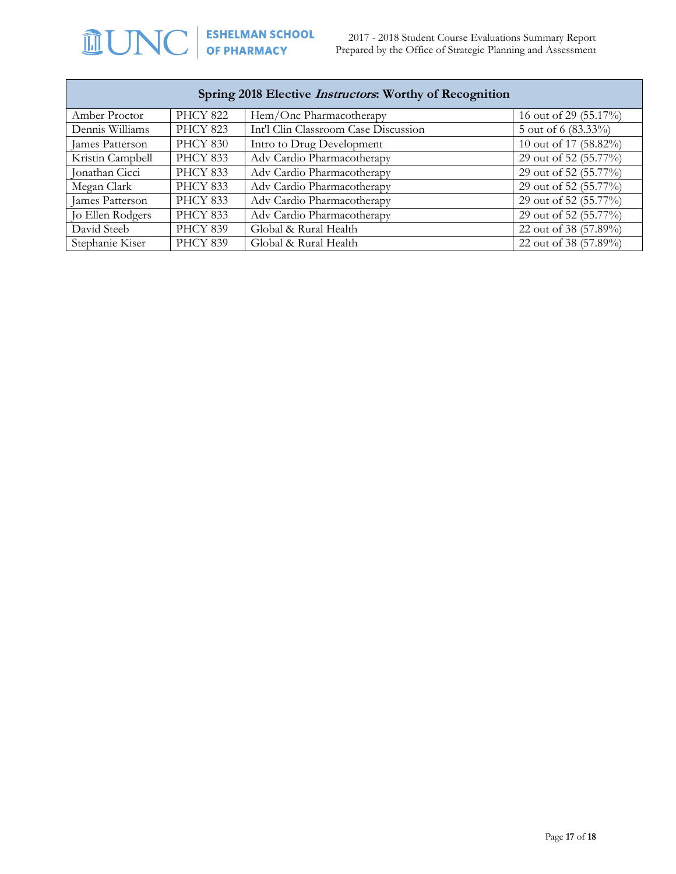2017 - 2018 Student Course Evaluations Summary Report Prepared by the Office of Strategic Planning and Assessment

| Spring 2018 Elective <i>Instructors</i> : Worthy of Recognition |                 |                                      |                       |  |
|-----------------------------------------------------------------|-----------------|--------------------------------------|-----------------------|--|
| Amber Proctor                                                   | <b>PHCY 822</b> | Hem/Onc Pharmacotherapy              | 16 out of 29 (55.17%) |  |
| Dennis Williams                                                 | <b>PHCY 823</b> | Int'l Clin Classroom Case Discussion | 5 out of 6 (83.33%)   |  |
| James Patterson                                                 | <b>PHCY 830</b> | Intro to Drug Development            | 10 out of 17 (58.82%) |  |
| Kristin Campbell                                                | <b>PHCY 833</b> | Adv Cardio Pharmacotherapy           | 29 out of 52 (55.77%) |  |
| Jonathan Cicci                                                  | <b>PHCY 833</b> | Adv Cardio Pharmacotherapy           | 29 out of 52 (55.77%) |  |
| Megan Clark                                                     | <b>PHCY 833</b> | Adv Cardio Pharmacotherapy           | 29 out of 52 (55.77%) |  |
| James Patterson                                                 | <b>PHCY 833</b> | Adv Cardio Pharmacotherapy           | 29 out of 52 (55.77%) |  |
| Jo Ellen Rodgers                                                | <b>PHCY 833</b> | Adv Cardio Pharmacotherapy           | 29 out of 52 (55.77%) |  |
| David Steeb                                                     | <b>PHCY 839</b> | Global & Rural Health                | 22 out of 38 (57.89%) |  |
| Stephanie Kiser                                                 | <b>PHCY 839</b> | Global & Rural Health                | 22 out of 38 (57.89%) |  |